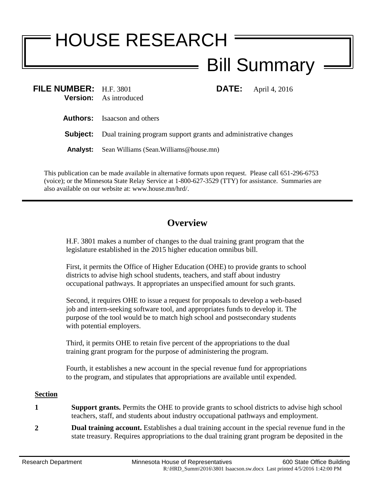## HOUSE RESEARCH Bill Summary

| FILE NUMBER: H.F. 3801 | <b>Version:</b> As introduced                                                   |  | <b>DATE:</b> April 4, 2016 |
|------------------------|---------------------------------------------------------------------------------|--|----------------------------|
|                        | <b>Authors:</b> Isaacson and others                                             |  |                            |
|                        | <b>Subject:</b> Dual training program support grants and administrative changes |  |                            |
| Analvst:               | Sean Williams (Sean. Williams @house.mn)                                        |  |                            |

This publication can be made available in alternative formats upon request. Please call 651-296-6753 (voice); or the Minnesota State Relay Service at 1-800-627-3529 (TTY) for assistance. Summaries are also available on our website at: www.house.mn/hrd/.

## **Overview**

H.F. 3801 makes a number of changes to the dual training grant program that the legislature established in the 2015 higher education omnibus bill.

First, it permits the Office of Higher Education (OHE) to provide grants to school districts to advise high school students, teachers, and staff about industry occupational pathways. It appropriates an unspecified amount for such grants.

Second, it requires OHE to issue a request for proposals to develop a web-based job and intern-seeking software tool, and appropriates funds to develop it. The purpose of the tool would be to match high school and postsecondary students with potential employers.

Third, it permits OHE to retain five percent of the appropriations to the dual training grant program for the purpose of administering the program.

Fourth, it establishes a new account in the special revenue fund for appropriations to the program, and stipulates that appropriations are available until expended.

## **Section**

- **1 Support grants.** Permits the OHE to provide grants to school districts to advise high school teachers, staff, and students about industry occupational pathways and employment.
- **2 Dual training account.** Establishes a dual training account in the special revenue fund in the state treasury. Requires appropriations to the dual training grant program be deposited in the